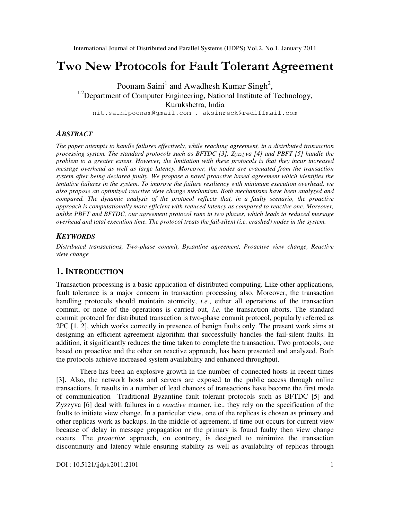# Two New Protocols for Fault Tolerant Agreement

Poonam Saini<sup>1</sup> and Awadhesh Kumar Singh<sup>2</sup>, <sup>1,2</sup>Department of Computer Engineering, National Institute of Technology, Kurukshetra, India nit.sainipoonam@gmail.com , aksinreck@rediffmail.com

*ABSTRACT*

*The paper attempts to handle failures effectively, while reaching agreement, in a distributed transaction processing system. The standard protocols such as BFTDC [3], Zyzzyva [4] and PBFT [5] handle the problem to a greater extent. However, the limitation with these protocols is that they incur increased message overhead as well as large latency. Moreover, the nodes are evacuated from the transaction system after being declared faulty. We propose a novel proactive based agreement which identifies the tentative failures in the system. To improve the failure resiliency with minimum execution overhead, we also propose an optimized reactive view change mechanism. Both mechanisms have been analyzed and compared. The dynamic analysis of the protocol reflects that, in a faulty scenario, the proactive approach is computationally more efficient with reduced latency as compared to reactive one. Moreover, unlike PBFT and BFTDC, our agreement protocol runs in two phases, which leads to reduced message overhead and total execution time. The protocol treats the fail-silent (i.e. crashed) nodes in the system.* 

#### *KEYWORDS*

*Distributed transactions, Two-phase commit, Byzantine agreement, Proactive view change, Reactive view change* 

# **1. INTRODUCTION**

Transaction processing is a basic application of distributed computing. Like other applications, fault tolerance is a major concern in transaction processing also. Moreover, the transaction handling protocols should maintain atomicity, *i.e.*, either all operations of the transaction commit, or none of the operations is carried out, *i.e.* the transaction aborts. The standard commit protocol for distributed transaction is two-phase commit protocol, popularly referred as 2PC [1, 2], which works correctly in presence of benign faults only. The present work aims at designing an efficient agreement algorithm that successfully handles the fail-silent faults. In addition, it significantly reduces the time taken to complete the transaction. Two protocols, one based on proactive and the other on reactive approach, has been presented and analyzed. Both the protocols achieve increased system availability and enhanced throughput.

There has been an explosive growth in the number of connected hosts in recent times [3]. Also, the network hosts and servers are exposed to the public access through online transactions. It results in a number of lead chances of transactions have become the first mode of communication Traditional Byzantine fault tolerant protocols such as BFTDC [5] and Zyzzyva [6] deal with failures in a *reactive* manner, i.e., they rely on the specification of the faults to initiate view change. In a particular view, one of the replicas is chosen as primary and other replicas work as backups. In the middle of agreement, if time out occurs for current view because of delay in message propagation or the primary is found faulty then view change occurs. The *proactive* approach, on contrary, is designed to minimize the transaction discontinuity and latency while ensuring stability as well as availability of replicas through

 $DOI : 10.5121/i$ jdps.2011.2101 1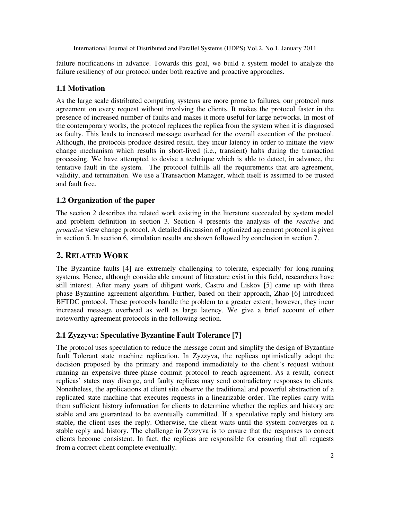failure notifications in advance. Towards this goal, we build a system model to analyze the failure resiliency of our protocol under both reactive and proactive approaches.

#### **1.1 Motivation**

As the large scale distributed computing systems are more prone to failures, our protocol runs agreement on every request without involving the clients. It makes the protocol faster in the presence of increased number of faults and makes it more useful for large networks. In most of the contemporary works, the protocol replaces the replica from the system when it is diagnosed as faulty. This leads to increased message overhead for the overall execution of the protocol. Although, the protocols produce desired result, they incur latency in order to initiate the view change mechanism which results in short-lived (i.e., transient) halts during the transaction processing. We have attempted to devise a technique which is able to detect, in advance, the tentative fault in the system. The protocol fulfills all the requirements that are agreement, validity, and termination. We use a Transaction Manager, which itself is assumed to be trusted and fault free.

#### **1.2 Organization of the paper**

The section 2 describes the related work existing in the literature succeeded by system model and problem definition in section 3. Section 4 presents the analysis of the *reactive* and *proactive* view change protocol. A detailed discussion of optimized agreement protocol is given in section 5. In section 6, simulation results are shown followed by conclusion in section 7.

# **2. RELATED WORK**

The Byzantine faults [4] are extremely challenging to tolerate, especially for long-running systems. Hence, although considerable amount of literature exist in this field, researchers have still interest. After many years of diligent work, Castro and Liskov [5] came up with three phase Byzantine agreement algorithm. Further, based on their approach, Zhao [6] introduced BFTDC protocol. These protocols handle the problem to a greater extent; however, they incur increased message overhead as well as large latency. We give a brief account of other noteworthy agreement protocols in the following section.

# **2.1 Zyzzyva: Speculative Byzantine Fault Tolerance [7]**

The protocol uses speculation to reduce the message count and simplify the design of Byzantine fault Tolerant state machine replication. In Zyzzyva, the replicas optimistically adopt the decision proposed by the primary and respond immediately to the client's request without running an expensive three-phase commit protocol to reach agreement. As a result, correct replicas' states may diverge, and faulty replicas may send contradictory responses to clients. Nonetheless, the applications at client site observe the traditional and powerful abstraction of a replicated state machine that executes requests in a linearizable order. The replies carry with them sufficient history information for clients to determine whether the replies and history are stable and are guaranteed to be eventually committed. If a speculative reply and history are stable, the client uses the reply. Otherwise, the client waits until the system converges on a stable reply and history. The challenge in Zyzzyva is to ensure that the responses to correct clients become consistent. In fact, the replicas are responsible for ensuring that all requests from a correct client complete eventually.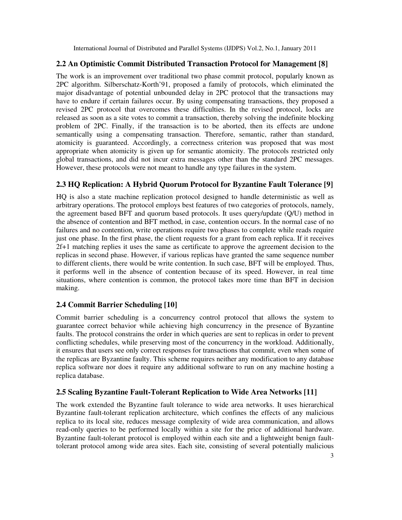#### **2.2 An Optimistic Commit Distributed Transaction Protocol for Management [8]**

The work is an improvement over traditional two phase commit protocol, popularly known as 2PC algorithm. Silberschatz-Korth'91, proposed a family of protocols, which eliminated the major disadvantage of potential unbounded delay in 2PC protocol that the transactions may have to endure if certain failures occur. By using compensating transactions, they proposed a revised 2PC protocol that overcomes these difficulties. In the revised protocol, locks are released as soon as a site votes to commit a transaction, thereby solving the indefinite blocking problem of 2PC. Finally, if the transaction is to be aborted, then its effects are undone semantically using a compensating transaction. Therefore, semantic, rather than standard, atomicity is guaranteed. Accordingly, a correctness criterion was proposed that was most appropriate when atomicity is given up for semantic atomicity. The protocols restricted only global transactions, and did not incur extra messages other than the standard 2PC messages. However, these protocols were not meant to handle any type failures in the system.

# **2.3 HQ Replication: A Hybrid Quorum Protocol for Byzantine Fault Tolerance [9]**

HQ is also a state machine replication protocol designed to handle deterministic as well as arbitrary operations. The protocol employs best features of two categories of protocols, namely, the agreement based BFT and quorum based protocols. It uses query/update (Q/U) method in the absence of contention and BFT method, in case, contention occurs. In the normal case of no failures and no contention, write operations require two phases to complete while reads require just one phase. In the first phase, the client requests for a grant from each replica. If it receives 2f+1 matching replies it uses the same as certificate to approve the agreement decision to the replicas in second phase. However, if various replicas have granted the same sequence number to different clients, there would be write contention. In such case, BFT will be employed. Thus, it performs well in the absence of contention because of its speed. However, in real time situations, where contention is common, the protocol takes more time than BFT in decision making.

# **2.4 Commit Barrier Scheduling [10]**

Commit barrier scheduling is a concurrency control protocol that allows the system to guarantee correct behavior while achieving high concurrency in the presence of Byzantine faults. The protocol constrains the order in which queries are sent to replicas in order to prevent conflicting schedules, while preserving most of the concurrency in the workload. Additionally, it ensures that users see only correct responses for transactions that commit, even when some of the replicas are Byzantine faulty. This scheme requires neither any modification to any database replica software nor does it require any additional software to run on any machine hosting a replica database.

# **2.5 Scaling Byzantine Fault-Tolerant Replication to Wide Area Networks [11]**

The work extended the Byzantine fault tolerance to wide area networks. It uses hierarchical Byzantine fault-tolerant replication architecture, which confines the effects of any malicious replica to its local site, reduces message complexity of wide area communication, and allows read-only queries to be performed locally within a site for the price of additional hardware. Byzantine fault-tolerant protocol is employed within each site and a lightweight benign faulttolerant protocol among wide area sites. Each site, consisting of several potentially malicious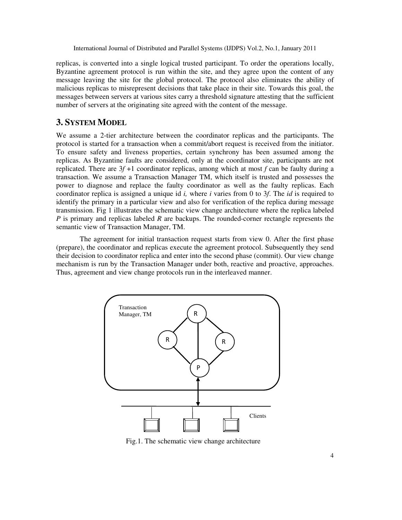replicas, is converted into a single logical trusted participant. To order the operations locally, Byzantine agreement protocol is run within the site, and they agree upon the content of any message leaving the site for the global protocol. The protocol also eliminates the ability of malicious replicas to misrepresent decisions that take place in their site. Towards this goal, the messages between servers at various sites carry a threshold signature attesting that the sufficient number of servers at the originating site agreed with the content of the message.

# **3. SYSTEM MODEL**

We assume a 2-tier architecture between the coordinator replicas and the participants. The protocol is started for a transaction when a commit/abort request is received from the initiator. To ensure safety and liveness properties, certain synchrony has been assumed among the replicas. As Byzantine faults are considered, only at the coordinator site, participants are not replicated. There are 3*f* +1 coordinator replicas, among which at most *f* can be faulty during a transaction. We assume a Transaction Manager TM, which itself is trusted and possesses the power to diagnose and replace the faulty coordinator as well as the faulty replicas. Each coordinator replica is assigned a unique id *i,* where *i* varies from 0 to 3*f*. The *id* is required to identify the primary in a particular view and also for verification of the replica during message transmission. Fig 1 illustrates the schematic view change architecture where the replica labeled *P* is primary and replicas labeled *R* are backups. The rounded-corner rectangle represents the semantic view of Transaction Manager, TM.

The agreement for initial transaction request starts from view 0. After the first phase (prepare), the coordinator and replicas execute the agreement protocol. Subsequently they send their decision to coordinator replica and enter into the second phase (commit). Our view change mechanism is run by the Transaction Manager under both, reactive and proactive, approaches. Thus, agreement and view change protocols run in the interleaved manner.



Fig.1. The schematic view change architecture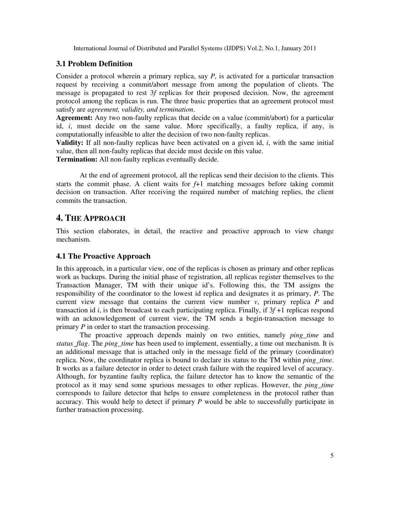#### **3.1 Problem Definition**

Consider a protocol wherein a primary replica, say *P*, is activated for a particular transaction request by receiving a commit/abort message from among the population of clients. The message is propagated to rest 3*f* replicas for their proposed decision. Now, the agreement protocol among the replicas is run. The three basic properties that an agreement protocol must satisfy are *agreement, validity, and termination*.

**Agreement:** Any two non-faulty replicas that decide on a value (commit/abort) for a particular id, *i*, must decide on the same value. More specifically, a faulty replica, if any, is computationally infeasible to alter the decision of two non-faulty replicas.

**Validity:** If all non-faulty replicas have been activated on a given id, *i*, with the same initial value, then all non-faulty replicas that decide must decide on this value.

**Termination:** All non-faulty replicas eventually decide.

At the end of agreement protocol, all the replicas send their decision to the clients. This starts the commit phase. A client waits for *f*+1 matching messages before taking commit decision on transaction. After receiving the required number of matching replies, the client commits the transaction.

# **4. THE APPROACH**

This section elaborates, in detail, the reactive and proactive approach to view change mechanism.

# **4.1 The Proactive Approach**

In this approach, in a particular view, one of the replicas is chosen as primary and other replicas work as backups. During the initial phase of registration, all replicas register themselves to the Transaction Manager, TM with their unique id's. Following this, the TM assigns the responsibility of the coordinator to the lowest id replica and designates it as primary, *P*. The current view message that contains the current view number  $v$ , primary replica  $P$  and transaction id *i*, is then broadcast to each participating replica. Finally, if 3*f* +1 replicas respond with an acknowledgement of current view, the TM sends a begin-transaction message to primary *P* in order to start the transaction processing.

The proactive approach depends mainly on two entities, namely *ping\_time* and *status\_flag*. The *ping\_time* has been used to implement, essentially, a time out mechanism. It is an additional message that is attached only in the message field of the primary (coordinator) replica. Now, the coordinator replica is bound to declare its status to the TM within *ping\_time*. It works as a failure detector in order to detect crash failure with the required level of accuracy. Although, for byzantine faulty replica, the failure detector has to know the semantic of the protocol as it may send some spurious messages to other replicas. However, the *ping\_time* corresponds to failure detector that helps to ensure completeness in the protocol rather than accuracy. This would help to detect if primary *P* would be able to successfully participate in further transaction processing.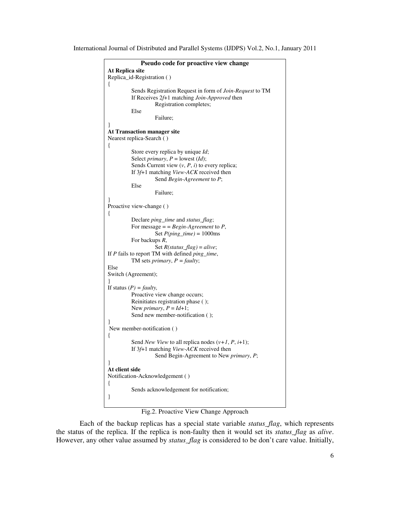```
Pseudo code for proactive view change 
At Replica site 
Replica_id-Registration ( ) 
{ 
           Sends Registration Request in form of Join-Request to TM 
           If Receives 2f+1 matching Join-Approved then 
                     Registration completes; 
           Else 
                     Failure; 
} 
At Transaction manager site 
Nearest replica-Search ( ) 
{ 
           Store every replica by unique Id;
          Select primary, P = lowest (Id);
          Sends Current view (v, P, i) to every replica;
           If 3f+1 matching View-ACK received then 
                     Send Begin-Agreement to P; 
           Else 
                     Failure; 
} 
Proactive view-change ( ) 
{ 
           Declare ping_time and status_flag; 
           For message = = Begin-Agreement to P, 
                     Set P(ping_time) = 1000ms 
           For backups R, 
                    Set R(status_flag) = alive; 
If P fails to report TM with defined ping_time, 
          TM sets primary, P = faulty; 
Else 
Switch (Agreement); 
} 
If status (P) = \text{faulty},
          Proactive view change occurs;
           Reinitiates registration phase ( ); 
          New primary, P = Id + 1;
           Send new member-notification ( );
} 
 New member-notification ( ) 
{ 
          Send New View to all replica nodes (v+1, P, i+1);
           If 3f+1 matching View-ACK received then 
                     Send Begin-Agreement to New primary, P; 
} 
At client side 
Notification-Acknowledgement ( ) 
{ 
           Sends acknowledgement for notification; 
}
```
Fig.2. Proactive View Change Approach

Each of the backup replicas has a special state variable *status\_flag*, which represents the status of the replica. If the replica is non-faulty then it would set its *status\_flag* as *alive*. However, any other value assumed by *status\_flag* is considered to be don't care value. Initially,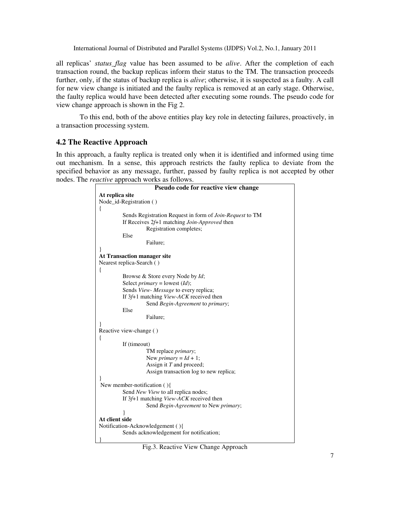all replicas' *status\_flag* value has been assumed to be *alive*. After the completion of each transaction round, the backup replicas inform their status to the TM. The transaction proceeds further, only, if the status of backup replica is *alive*; otherwise, it is suspected as a faulty. A call for new view change is initiated and the faulty replica is removed at an early stage. Otherwise, the faulty replica would have been detected after executing some rounds. The pseudo code for view change approach is shown in the Fig 2.

To this end, both of the above entities play key role in detecting failures, proactively, in a transaction processing system.

#### **4.2 The Reactive Approach**

In this approach, a faulty replica is treated only when it is identified and informed using time out mechanism. In a sense, this approach restricts the faulty replica to deviate from the specified behavior as any message, further, passed by faulty replica is not accepted by other nodes. The *reactive* approach works as follows.

|                 | Pseudo code for reactive view change                                                                                                                |
|-----------------|-----------------------------------------------------------------------------------------------------------------------------------------------------|
| At replica site |                                                                                                                                                     |
|                 | Node_id-Registration ()                                                                                                                             |
| ł               |                                                                                                                                                     |
|                 | Sends Registration Request in form of <i>Join-Request</i> to TM<br>If Receives $2f+1$ matching <i>Join-Approved</i> then<br>Registration completes; |
|                 | Else                                                                                                                                                |
|                 | Failure;                                                                                                                                            |
| ł               |                                                                                                                                                     |
|                 | At Transaction manager site                                                                                                                         |
|                 | Nearest replica-Search ()                                                                                                                           |
| ł               |                                                                                                                                                     |
|                 | Browse & Store every Node by Id;                                                                                                                    |
|                 | Select <i>primary</i> = lowest $(Id)$ ;                                                                                                             |
|                 | Sends View- Message to every replica;                                                                                                               |
|                 | If 3f+1 matching View-ACK received then                                                                                                             |
|                 | Send Begin-Agreement to primary;                                                                                                                    |
|                 | Else                                                                                                                                                |
|                 | Failure:                                                                                                                                            |
|                 | Reactive view-change ()                                                                                                                             |
| ł               |                                                                                                                                                     |
|                 | If (timeout)                                                                                                                                        |
|                 | TM replace <i>primary</i> ;                                                                                                                         |
|                 | New primary = $Id + 1$ ;                                                                                                                            |
|                 | Assign it $T$ and proceed;                                                                                                                          |
|                 | Assign transaction log to new replica;                                                                                                              |
|                 |                                                                                                                                                     |
|                 | New member-notification $()$                                                                                                                        |
|                 | Send New View to all replica nodes;                                                                                                                 |
|                 | If 3f <sup>+1</sup> matching <i>View-ACK</i> received then                                                                                          |
|                 | Send Begin-Agreement to New primary;                                                                                                                |
| At client side  |                                                                                                                                                     |
|                 | Notification-Acknowledgement (){                                                                                                                    |
|                 | Sends acknowledgement for notification;                                                                                                             |
|                 |                                                                                                                                                     |

Fig.3. Reactive View Change Approach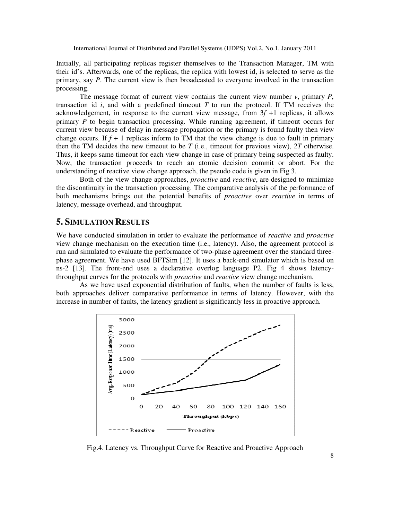Initially, all participating replicas register themselves to the Transaction Manager, TM with their id's. Afterwards, one of the replicas, the replica with lowest id, is selected to serve as the primary, say *P*. The current view is then broadcasted to everyone involved in the transaction processing.

The message format of current view contains the current view number  $v$ , primary  $P$ , transaction id  $i$ , and with a predefined timeout  $T$  to run the protocol. If TM receives the acknowledgement, in response to the current view message, from  $3f + 1$  replicas, it allows primary *P* to begin transaction processing. While running agreement, if timeout occurs for current view because of delay in message propagation or the primary is found faulty then view change occurs. If  $f + 1$  replicas inform to TM that the view change is due to fault in primary then the TM decides the new timeout to be *T* (i.e., timeout for previous view), 2*T* otherwise. Thus, it keeps same timeout for each view change in case of primary being suspected as faulty. Now, the transaction proceeds to reach an atomic decision commit or abort. For the understanding of reactive view change approach, the pseudo code is given in Fig 3.

Both of the view change approaches, *proactive* and *reactive*, are designed to minimize the discontinuity in the transaction processing. The comparative analysis of the performance of both mechanisms brings out the potential benefits of *proactive* over *reactive* in terms of latency, message overhead, and throughput.

#### **5. SIMULATION RESULTS**

We have conducted simulation in order to evaluate the performance of *reactive* and *proactive* view change mechanism on the execution time (i.e., latency). Also, the agreement protocol is run and simulated to evaluate the performance of two-phase agreement over the standard threephase agreement. We have used BFTSim [12]. It uses a back-end simulator which is based on ns-2 [13]. The front-end uses a declarative overlog language P2. Fig 4 shows latencythroughput curves for the protocols with *proactive* and *reactive* view change mechanism.

As we have used exponential distribution of faults, when the number of faults is less, both approaches deliver comparative performance in terms of latency. However, with the increase in number of faults, the latency gradient is significantly less in proactive approach.



Fig.4. Latency vs. Throughput Curve for Reactive and Proactive Approach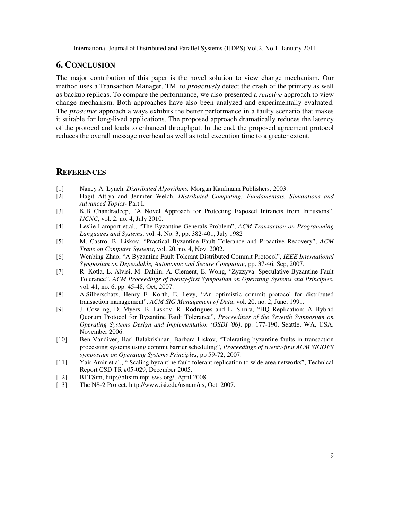### **6. CONCLUSION**

The major contribution of this paper is the novel solution to view change mechanism. Our method uses a Transaction Manager, TM, to *proactively* detect the crash of the primary as well as backup replicas. To compare the performance, we also presented a *reactive* approach to view change mechanism. Both approaches have also been analyzed and experimentally evaluated. The *proactive* approach always exhibits the better performance in a faulty scenario that makes it suitable for long-lived applications. The proposed approach dramatically reduces the latency of the protocol and leads to enhanced throughput. In the end, the proposed agreement protocol reduces the overall message overhead as well as total execution time to a greater extent.

#### **REFERENCES**

- [1] Nancy A. Lynch. *Distributed Algorithms.* Morgan Kaufmann Publishers, 2003.
- [2] Hagit Attiya and Jennifer Welch. *Distributed Computing: Fundamentals, Simulations and Advanced Topics*- Part I.
- [3] K.B Chandradeep, "A Novel Approach for Protecting Exposed Intranets from Intrusions", *IJCNC*, vol. 2, no. 4, July 2010.
- [4] Leslie Lamport et.al., "The Byzantine Generals Problem", *ACM Transaction on Programming Languages and Systems*, vol. 4, No. 3, pp. 382-401, July 1982
- [5] M. Castro, B. Liskov, "Practical Byzantine Fault Tolerance and Proactive Recovery", *ACM Trans on Computer Systems*, vol. 20, no. 4, Nov, 2002.
- [6] Wenbing Zhao, "A Byzantine Fault Tolerant Distributed Commit Protocol", *IEEE International Symposium on Dependable, Autonomic and Secure Computing*, pp. 37-46, Sep, 2007.
- [7] R. Kotla, L. Alvisi, M. Dahlin, A. Clement, E. Wong, "Zyzzyva: Speculative Byzantine Fault Tolerance", *ACM Proceedings of twenty-first Symposium on Operating Systems and Principles*, vol. 41, no. 6, pp. 45-48, Oct, 2007.
- [8] A.Silberschatz, Henry F. Korth, E. Levy, "An optimistic commit protocol for distributed transaction management", *ACM SIG Management of Data*, vol. 20, no. 2, June, 1991.
- [9] J. Cowling, D. Myers, B. Liskov, R. Rodrigues and L. Shrira, "HQ Replication: A Hybrid Quorum Protocol for Byzantine Fault Tolerance", *Proceedings of the Seventh Symposium on Operating Systems Design and Implementation (OSDI '06)*, pp. 177-190, Seattle, WA, USA. November 2006.
- [10] Ben Vandiver, Hari Balakrishnan, Barbara Liskov, "Tolerating byzantine faults in transaction processing systems using commit barrier scheduling", *Proceedings of twenty-first ACM SIGOPS symposium on Operating Systems Principles*, pp 59-72, 2007.
- [11] Yair Amir et.al., " Scaling byzantine fault-tolerant replication to wide area networks", Technical Report CSD TR #05-029, December 2005.
- [12] BFTSim, http://bftsim.mpi-sws.org/, April 2008
- [13] The NS-2 Project. http://www.isi.edu/nsnam/ns, Oct. 2007.